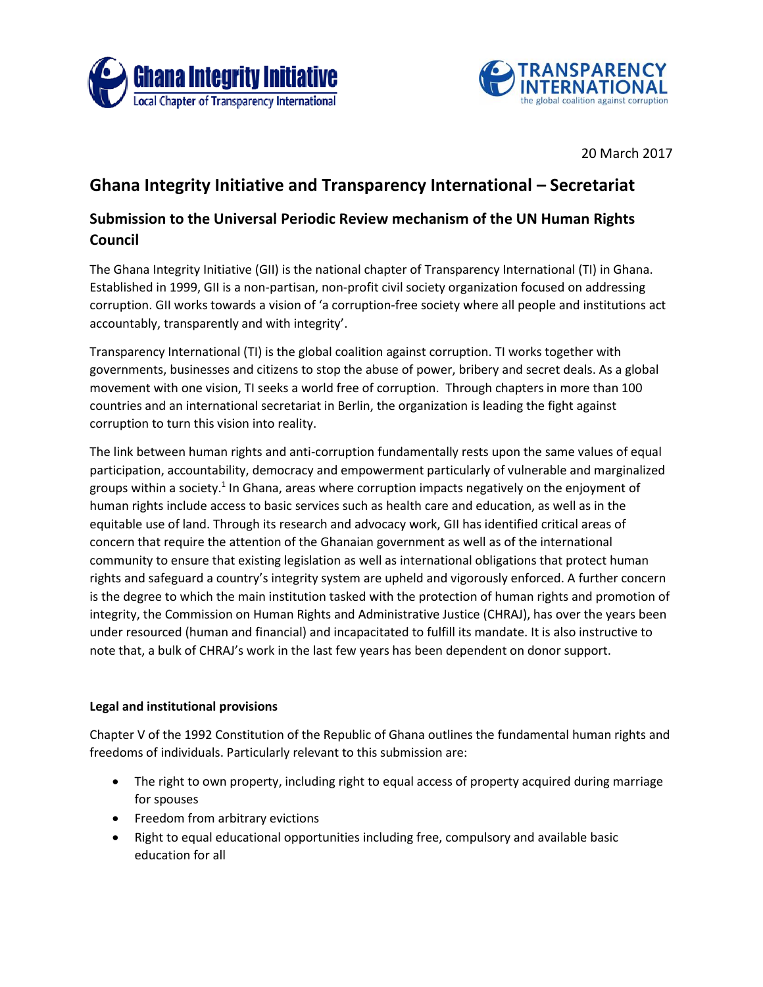



20 March 2017

# **Ghana Integrity Initiative and Transparency International – Secretariat**

# **Submission to the Universal Periodic Review mechanism of the UN Human Rights Council**

The Ghana Integrity Initiative (GII) is the national chapter of Transparency International (TI) in Ghana. Established in 1999, GII is a non-partisan, non-profit civil society organization focused on addressing corruption. GII works towards a vision of 'a corruption-free society where all people and institutions act accountably, transparently and with integrity'.

Transparency International (TI) is the global coalition against corruption. TI works together with governments, businesses and citizens to stop the abuse of power, bribery and secret deals. As a global movement with one vision, TI seeks a world free of corruption. Through chapters in more than 100 countries and an international secretariat in Berlin, the organization is leading the fight against corruption to turn this vision into reality.

The link between human rights and anti-corruption fundamentally rests upon the same values of equal participation, accountability, democracy and empowerment particularly of vulnerable and marginalized groups within a society.<sup>1</sup> In Ghana, areas where corruption impacts negatively on the enjoyment of human rights include access to basic services such as health care and education, as well as in the equitable use of land. Through its research and advocacy work, GII has identified critical areas of concern that require the attention of the Ghanaian government as well as of the international community to ensure that existing legislation as well as international obligations that protect human rights and safeguard a country's integrity system are upheld and vigorously enforced. A further concern is the degree to which the main institution tasked with the protection of human rights and promotion of integrity, the Commission on Human Rights and Administrative Justice (CHRAJ), has over the years been under resourced (human and financial) and incapacitated to fulfill its mandate. It is also instructive to note that, a bulk of CHRAJ's work in the last few years has been dependent on donor support.

## **Legal and institutional provisions**

Chapter V of the 1992 Constitution of the Republic of Ghana outlines the fundamental human rights and freedoms of individuals. Particularly relevant to this submission are:

- The right to own property, including right to equal access of property acquired during marriage for spouses
- Freedom from arbitrary evictions
- Right to equal educational opportunities including free, compulsory and available basic education for all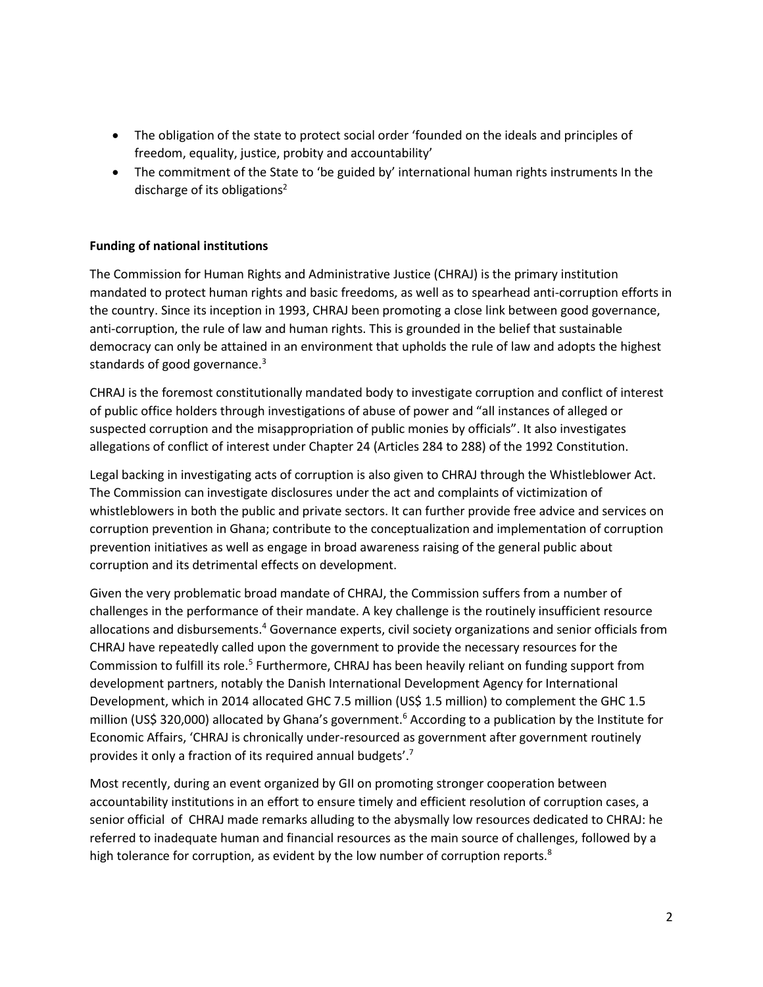- The obligation of the state to protect social order 'founded on the ideals and principles of freedom, equality, justice, probity and accountability'
- The commitment of the State to 'be guided by' international human rights instruments In the discharge of its obligations<sup>2</sup>

## **Funding of national institutions**

The Commission for Human Rights and Administrative Justice (CHRAJ) is the primary institution mandated to protect human rights and basic freedoms, as well as to spearhead anti-corruption efforts in the country. Since its inception in 1993, CHRAJ been promoting a close link between good governance, anti-corruption, the rule of law and human rights. This is grounded in the belief that sustainable democracy can only be attained in an environment that upholds the rule of law and adopts the highest standards of good governance. $3$ 

CHRAJ is the foremost constitutionally mandated body to investigate corruption and conflict of interest of public office holders through investigations of abuse of power and "all instances of alleged or suspected corruption and the misappropriation of public monies by officials". It also investigates allegations of conflict of interest under Chapter 24 (Articles 284 to 288) of the 1992 Constitution.

Legal backing in investigating acts of corruption is also given to CHRAJ through the Whistleblower Act. The Commission can investigate disclosures under the act and complaints of victimization of whistleblowers in both the public and private sectors. It can further provide free advice and services on corruption prevention in Ghana; contribute to the conceptualization and implementation of corruption prevention initiatives as well as engage in broad awareness raising of the general public about corruption and its detrimental effects on development.

Given the very problematic broad mandate of CHRAJ, the Commission suffers from a number of challenges in the performance of their mandate. A key challenge is the routinely insufficient resource allocations and disbursements.<sup>4</sup> Governance experts, civil society organizations and senior officials from CHRAJ have repeatedly called upon the government to provide the necessary resources for the Commission to fulfill its role.<sup>5</sup> Furthermore, CHRAJ has been heavily reliant on funding support from development partners, notably the Danish International Development Agency for International Development, which in 2014 allocated GHC 7.5 million (US\$ 1.5 million) to complement the GHC 1.5 million (US\$ 320,000) allocated by Ghana's government.<sup>6</sup> According to a publication by the Institute for Economic Affairs, 'CHRAJ is chronically under-resourced as government after government routinely provides it only a fraction of its required annual budgets'.<sup>7</sup>

Most recently, during an event organized by GII on promoting stronger cooperation between accountability institutions in an effort to ensure timely and efficient resolution of corruption cases, a senior official of CHRAJ made remarks alluding to the abysmally low resources dedicated to CHRAJ: he referred to inadequate human and financial resources as the main source of challenges, followed by a high tolerance for corruption, as evident by the low number of corruption reports.<sup>8</sup>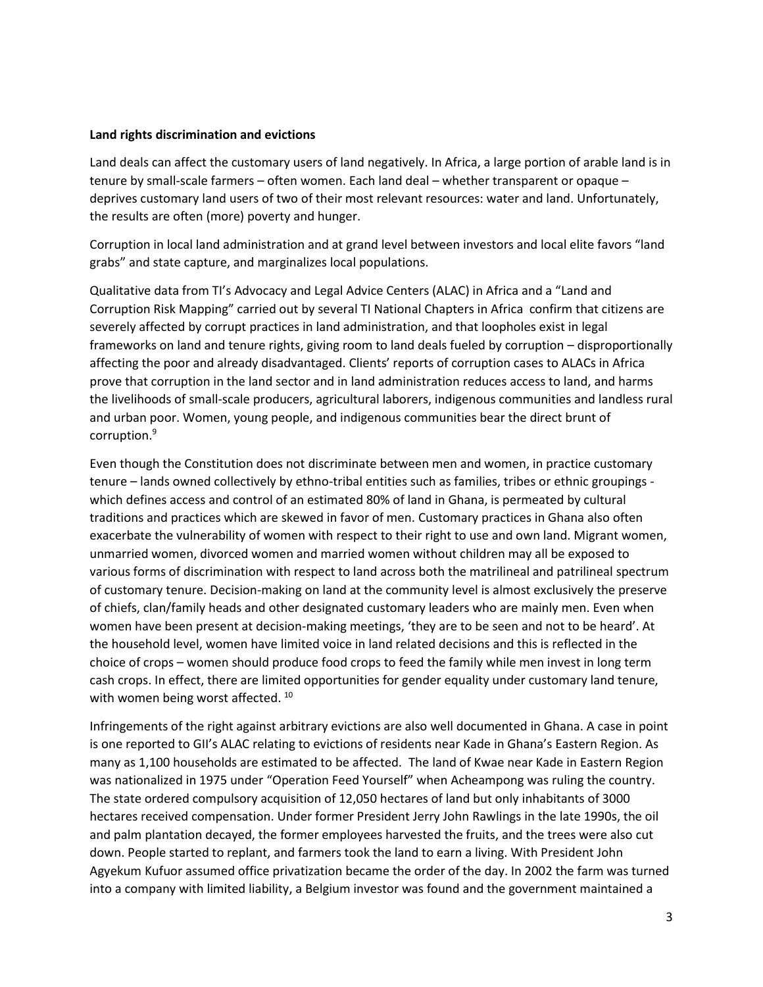#### **Land rights discrimination and evictions**

Land deals can affect the customary users of land negatively. In Africa, a large portion of arable land is in tenure by small-scale farmers – often women. Each land deal – whether transparent or opaque – deprives customary land users of two of their most relevant resources: water and land. Unfortunately, the results are often (more) poverty and hunger.

Corruption in local land administration and at grand level between investors and local elite favors "land grabs" and state capture, and marginalizes local populations.

Qualitative data from TI's Advocacy and Legal Advice Centers (ALAC) in Africa and a "Land and Corruption Risk Mapping" carried out by several TI National Chapters in Africa confirm that citizens are severely affected by corrupt practices in land administration, and that loopholes exist in legal frameworks on land and tenure rights, giving room to land deals fueled by corruption – disproportionally affecting the poor and already disadvantaged. Clients' reports of corruption cases to ALACs in Africa prove that corruption in the land sector and in land administration reduces access to land, and harms the livelihoods of small-scale producers, agricultural laborers, indigenous communities and landless rural and urban poor. Women, young people, and indigenous communities bear the direct brunt of corruption. 9

Even though the Constitution does not discriminate between men and women, in practice customary tenure – lands owned collectively by ethno-tribal entities such as families, tribes or ethnic groupings which defines access and control of an estimated 80% of land in Ghana, is permeated by cultural traditions and practices which are skewed in favor of men. Customary practices in Ghana also often exacerbate the vulnerability of women with respect to their right to use and own land. Migrant women, unmarried women, divorced women and married women without children may all be exposed to various forms of discrimination with respect to land across both the matrilineal and patrilineal spectrum of customary tenure. Decision-making on land at the community level is almost exclusively the preserve of chiefs, clan/family heads and other designated customary leaders who are mainly men. Even when women have been present at decision-making meetings, 'they are to be seen and not to be heard'. At the household level, women have limited voice in land related decisions and this is reflected in the choice of crops – women should produce food crops to feed the family while men invest in long term cash crops. In effect, there are limited opportunities for gender equality under customary land tenure, with women being worst affected.<sup>10</sup>

Infringements of the right against arbitrary evictions are also well documented in Ghana. A case in point is one reported to GII's ALAC relating to evictions of residents near Kade in Ghana's Eastern Region. As many as 1,100 households are estimated to be affected. The land of Kwae near Kade in Eastern Region was nationalized in 1975 under "Operation Feed Yourself" when Acheampong was ruling the country. The state ordered compulsory acquisition of 12,050 hectares of land but only inhabitants of 3000 hectares received compensation. Under former President Jerry John Rawlings in the late 1990s, the oil and palm plantation decayed, the former employees harvested the fruits, and the trees were also cut down. People started to replant, and farmers took the land to earn a living. With President John Agyekum Kufuor assumed office privatization became the order of the day. In 2002 the farm was turned into a company with limited liability, a Belgium investor was found and the government maintained a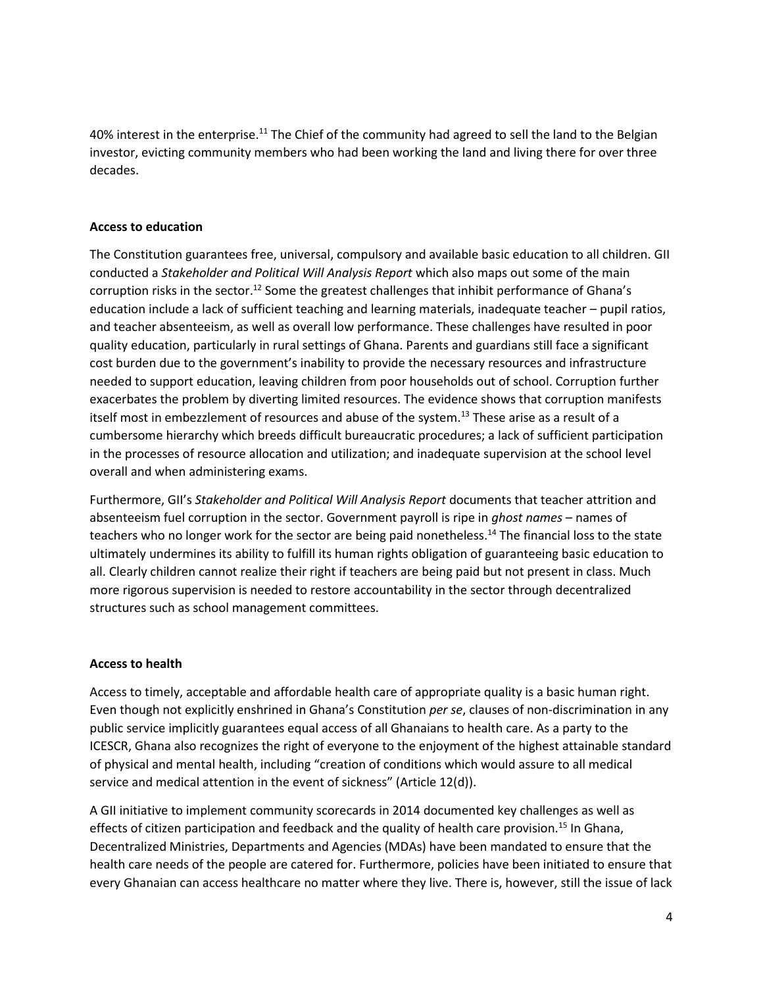40% interest in the enterprise.<sup>11</sup> The Chief of the community had agreed to sell the land to the Belgian investor, evicting community members who had been working the land and living there for over three decades.

### **Access to education**

The Constitution guarantees free, universal, compulsory and available basic education to all children. GII conducted a *Stakeholder and Political Will Analysis Report* which also maps out some of the main corruption risks in the sector.<sup>12</sup> Some the greatest challenges that inhibit performance of Ghana's education include a lack of sufficient teaching and learning materials, inadequate teacher – pupil ratios, and teacher absenteeism, as well as overall low performance. These challenges have resulted in poor quality education, particularly in rural settings of Ghana. Parents and guardians still face a significant cost burden due to the government's inability to provide the necessary resources and infrastructure needed to support education, leaving children from poor households out of school. Corruption further exacerbates the problem by diverting limited resources. The evidence shows that corruption manifests itself most in embezzlement of resources and abuse of the system.<sup>13</sup> These arise as a result of a cumbersome hierarchy which breeds difficult bureaucratic procedures; a lack of sufficient participation in the processes of resource allocation and utilization; and inadequate supervision at the school level overall and when administering exams.

Furthermore, GII's *Stakeholder and Political Will Analysis Report* documents that teacher attrition and absenteeism fuel corruption in the sector. Government payroll is ripe in *ghost names* – names of teachers who no longer work for the sector are being paid nonetheless.<sup>14</sup> The financial loss to the state ultimately undermines its ability to fulfill its human rights obligation of guaranteeing basic education to all. Clearly children cannot realize their right if teachers are being paid but not present in class. Much more rigorous supervision is needed to restore accountability in the sector through decentralized structures such as school management committees.

## **Access to health**

Access to timely, acceptable and affordable health care of appropriate quality is a basic human right. Even though not explicitly enshrined in Ghana's Constitution *per se*, clauses of non-discrimination in any public service implicitly guarantees equal access of all Ghanaians to health care. As a party to the ICESCR, Ghana also recognizes the right of everyone to the enjoyment of the highest attainable standard of physical and mental health, including "creation of conditions which would assure to all medical service and medical attention in the event of sickness" (Article 12(d)).

A GII initiative to implement community scorecards in 2014 documented key challenges as well as effects of citizen participation and feedback and the quality of health care provision.<sup>15</sup> In Ghana, Decentralized Ministries, Departments and Agencies (MDAs) have been mandated to ensure that the health care needs of the people are catered for. Furthermore, policies have been initiated to ensure that every Ghanaian can access healthcare no matter where they live. There is, however, still the issue of lack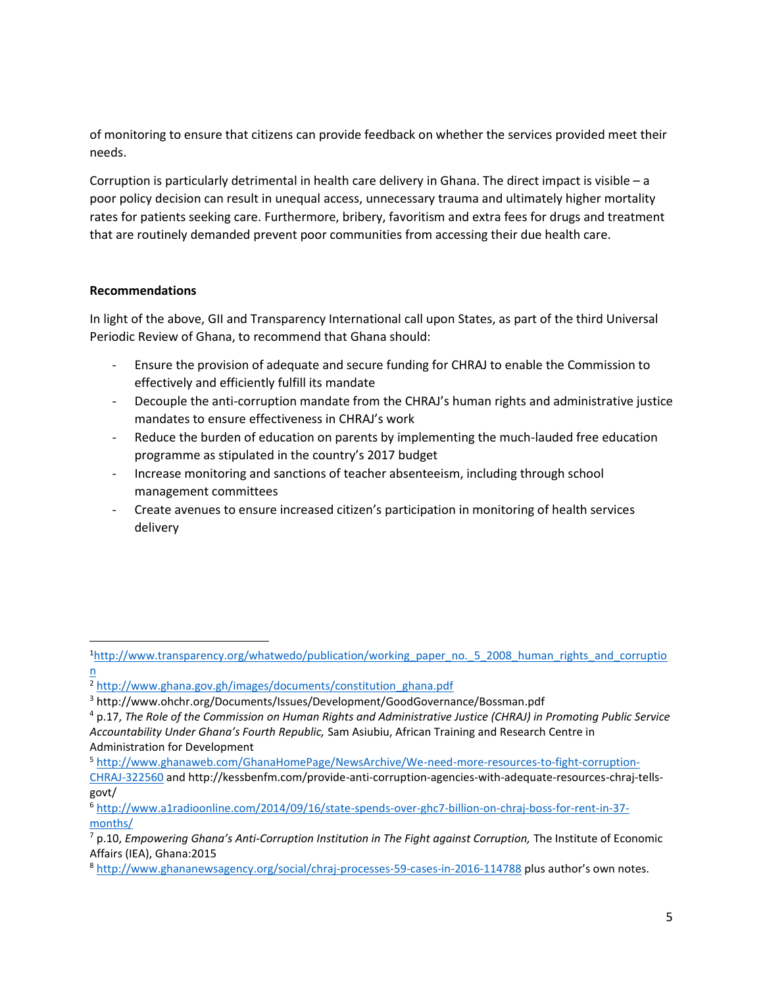of monitoring to ensure that citizens can provide feedback on whether the services provided meet their needs.

Corruption is particularly detrimental in health care delivery in Ghana. The direct impact is visible – a poor policy decision can result in unequal access, unnecessary trauma and ultimately higher mortality rates for patients seeking care. Furthermore, bribery, favoritism and extra fees for drugs and treatment that are routinely demanded prevent poor communities from accessing their due health care.

### **Recommendations**

In light of the above, GII and Transparency International call upon States, as part of the third Universal Periodic Review of Ghana, to recommend that Ghana should:

- Ensure the provision of adequate and secure funding for CHRAJ to enable the Commission to effectively and efficiently fulfill its mandate
- Decouple the anti-corruption mandate from the CHRAJ's human rights and administrative justice mandates to ensure effectiveness in CHRAJ's work
- Reduce the burden of education on parents by implementing the much-lauded free education programme as stipulated in the country's 2017 budget
- Increase monitoring and sanctions of teacher absenteeism, including through school management committees
- Create avenues to ensure increased citizen's participation in monitoring of health services delivery

Administration for Development

 $\overline{\phantom{a}}$ 

<sup>6</sup> [http://www.a1radioonline.com/2014/09/16/state-spends-over-ghc7-billion-on-chraj-boss-for-rent-in-37](http://www.a1radioonline.com/2014/09/16/state-spends-over-ghc7-billion-on-chraj-boss-for-rent-in-37-months/) [months/](http://www.a1radioonline.com/2014/09/16/state-spends-over-ghc7-billion-on-chraj-boss-for-rent-in-37-months/)

<sup>1</sup>[http://www.transparency.org/whatwedo/publication/working\\_paper\\_no.\\_5\\_2008\\_human\\_rights\\_and\\_corruptio](http://www.transparency.org/whatwedo/publication/working_paper_no._5_2008_human_rights_and_corruption) [n](http://www.transparency.org/whatwedo/publication/working_paper_no._5_2008_human_rights_and_corruption) 

<sup>2</sup> [http://www.ghana.gov.gh/images/documents/constitution\\_ghana.pdf](http://www.ghana.gov.gh/images/documents/constitution_ghana.pdf)

<sup>3</sup> http://www.ohchr.org/Documents/Issues/Development/GoodGovernance/Bossman.pdf

<sup>4</sup> p.17, *The Role of the Commission on Human Rights and Administrative Justice (CHRAJ) in Promoting Public Service Accountability Under Ghana's Fourth Republic,* Sam Asiubiu, African Training and Research Centre in

<sup>5</sup> [http://www.ghanaweb.com/GhanaHomePage/NewsArchive/We-need-more-resources-to-fight-corruption-](http://www.ghanaweb.com/GhanaHomePage/NewsArchive/We-need-more-resources-to-fight-corruption-CHRAJ-322560)

[CHRAJ-322560](http://www.ghanaweb.com/GhanaHomePage/NewsArchive/We-need-more-resources-to-fight-corruption-CHRAJ-322560) and http://kessbenfm.com/provide-anti-corruption-agencies-with-adequate-resources-chraj-tellsgovt/

<sup>7</sup> p.10, *Empowering Ghana's Anti-Corruption Institution in The Fight against Corruption,* The Institute of Economic Affairs (IEA), Ghana:2015

<sup>8</sup> <http://www.ghananewsagency.org/social/chraj-processes-59-cases-in-2016-114788> plus author's own notes.